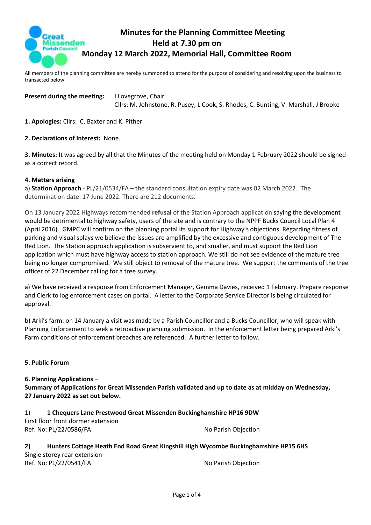

# **Minutes for the Planning Committee Meeting Held at 7.30 pm on Monday 12 March 2022, Memorial Hall, Committee Room**

All members of the planning committee are hereby summoned to attend for the purpose of considering and resolving upon the business to transacted below.

**Present during the meeting:** I Lovegrove, Chair Cllrs: M. Johnstone, R. Pusey, L Cook, S. Rhodes, C. Bunting, V. Marshall, J Brooke

**1. Apologies:** Cllrs: C. Baxter and K. Pither

#### **2. Declarations of Interest:** None.

**3. Minutes:** It was agreed by all that the Minutes of the meeting held on Monday 1 February 2022 should be signed as a correct record.

#### **4. Matters arising**

a) **Station Approach** - PL/21/0534/FA – the standard consultation expiry date was 02 March 2022. The determination date: 17 June 2022. There are 212 documents.

On 13 January 2022 Highways recommended **refusal** of the Station Approach application saying the development would be detrimental to highway safety, users of the site and is contrary to the NPPF Bucks Council Local Plan 4 (April 2016). GMPC will confirm on the planning portal its support for Highway's objections. Regarding fitness of parking and visual splays we believe the issues are amplified by the excessive and contiguous development of The Red Lion. The Station approach application is subservient to, and smaller, and must support the Red Lion application which must have highway access to station approach. We still do not see evidence of the mature tree being no longer compromised. We still object to removal of the mature tree. We support the comments of the tree officer of 22 December calling for a tree survey.

a) We have received a response from Enforcement Manager, Gemma Davies, received 1 February. Prepare response and Clerk to log enforcement cases on portal. A letter to the Corporate Service Director is being circulated for approval.

b) Arki's farm: on 14 January a visit was made by a Parish Councillor and a Bucks Councillor, who will speak with Planning Enforcement to seek a retroactive planning submission. In the enforcement letter being prepared Arki's Farm conditions of enforcement breaches are referenced. A further letter to follow.

### **5. Public Forum**

### **6. Planning Applications** –

**Summary of Applications for Great Missenden Parish validated and up to date as at midday on Wednesday, 27 January 2022 as set out below.**

1) **1 Chequers Lane Prestwood Great Missenden Buckinghamshire HP16 9DW** First floor front dormer extension Ref. No: PL/22/0586/FA No Parish Objection

#### **2) Hunters Cottage Heath End Road Great Kingshill High Wycombe Buckinghamshire HP15 6HS** Single storey rear extension Ref. No: PL/22/0541/FA No Parish Objection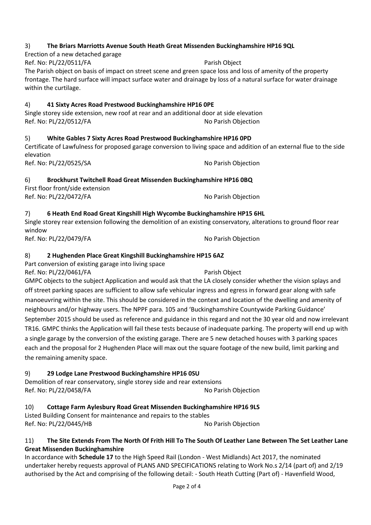## 3) **The Briars Marriotts Avenue South Heath Great Missenden Buckinghamshire HP16 9QL**

Ref. No: PL/22/0511/FA Parish Object The Parish object on basis of impact on street scene and green space loss and loss of amenity of the property frontage. The hard surface will impact surface water and drainage by loss of a natural surface for water drainage within the curtilage.

## 4) **41 Sixty Acres Road Prestwood Buckinghamshire HP16 0PE**

Single storey side extension, new roof at rear and an additional door at side elevation Ref. No: PL/22/0512/FA No Parish Objection

5) **White Gables 7 Sixty Acres Road Prestwood Buckinghamshire HP16 0PD**

Certificate of Lawfulness for proposed garage conversion to living space and addition of an external flue to the side elevation

Ref. No: PL/22/0525/SA No Parish Objection

Erection of a new detached garage

## 6) **Brockhurst Twitchell Road Great Missenden Buckinghamshire HP16 0BQ**

First floor front/side extension Ref. No: PL/22/0472/FA No Parish Objection

## 7) **6 Heath End Road Great Kingshill High Wycombe Buckinghamshire HP15 6HL**

Single storey rear extension following the demolition of an existing conservatory, alterations to ground floor rear window Ref. No: PL/22/0479/FA No Parish Objection

## 8) **2 Hughenden Place Great Kingshill Buckinghamshire HP15 6AZ**

Part conversion of existing garage into living space

Ref. No: PL/22/0461/FA Parish Object GMPC objects to the subject Application and would ask that the LA closely consider whether the vision splays and off street parking spaces are sufficient to allow safe vehicular ingress and egress in forward gear along with safe manoeuvring within the site. This should be considered in the context and location of the dwelling and amenity of neighbours and/or highway users. The NPPF para. 105 and 'Buckinghamshire Countywide Parking Guidance' September 2015 should be used as reference and guidance in this regard and not the 30 year old and now irrelevant TR16. GMPC thinks the Application will fail these tests because of inadequate parking. The property will end up with a single garage by the conversion of the existing garage. There are 5 new detached houses with 3 parking spaces each and the proposal for 2 Hughenden Place will max out the square footage of the new build, limit parking and the remaining amenity space.

## 9) **29 Lodge Lane Prestwood Buckinghamshire HP16 0SU**

Demolition of rear conservatory, single storey side and rear extensions Ref. No: PL/22/0458/FA No Parish Objection

#### 10) **Cottage Farm Aylesbury Road Great Missenden Buckinghamshire HP16 9LS** Listed Building Consent for maintenance and repairs to the stables Ref. No: PL/22/0445/HB No Parish Objection

## 11) **The Site Extends From The North Of Frith Hill To The South Of Leather Lane Between The Set Leather Lane Great Missenden Buckinghamshire**

In accordance with **Schedule 17** to the High Speed Rail (London - West Midlands) Act 2017, the nominated undertaker hereby requests approval of PLANS AND SPECIFICATIONS relating to Work No.s 2/14 (part of) and 2/19 authorised by the Act and comprising of the following detail: - South Heath Cutting (Part of) - Havenfield Wood,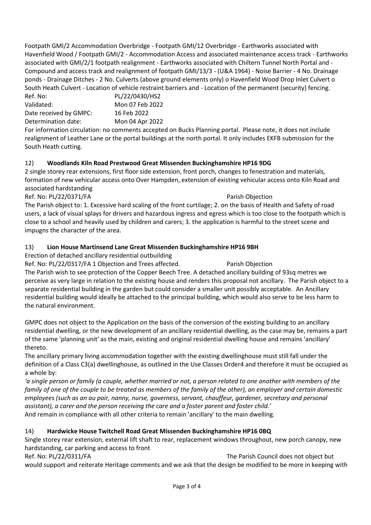Footpath GMI/2 Accommodation Overbridge - Footpath GMI/12 Overbridge - Earthworks associated with Havenfield Wood / Footpath GMI/2 - Accommodation Access and associated maintenance access track - Earthworks associated with GMI/2/1 footpath realignment - Earthworks associated with Chiltern Tunnel North Portal and - Compound and access track and realignment of footpath GMI/13/3 - (U&A 1964) - Noise Barrier - 4 No. Drainage ponds - Drainage Ditches - 2 No. Culverts (above ground elements only) o Havenfield Wood Drop Inlet Culvert o South Heath Culvert - Location of vehicle restraint barriers and - Location of the permanent (security) fencing.

Ref. No: PL/22/0430/HS2 Validated: Mon 07 Feb 2022 Date received by GMPC: 16 Feb 2022 Determination date: Mon 04 Apr 2022

For information circulation: no comments accepted on Bucks Planning portal. Please note, it does not include realignment of Leather Lane or the portal buildings at the north portal. It only includes EKFB submission for the South Heath cutting.

## 12) **Woodlands Kiln Road Prestwood Great Missenden Buckinghamshire HP16 9DG**

2 single storey rear extensions, first floor side extension, front porch, changes to fenestration and materials, formation of new vehicular access onto Over Hampden, extension of existing vehicular access onto Kiln Road and associated hardstanding

Ref. No: PL/22/0371/FA Parish Objection

The Parish object to: 1. Excessive hard scaling of the front curtilage; 2. on the basis of Health and Safety of road users, a lack of visual splays for drivers and hazardous ingress and egress which is too close to the footpath which is close to a school and heavily used by children and carers; 3. the application is harmful to the street scene and impugns the character of the area.

## 13) **Lion House Martinsend Lane Great Missenden Buckinghamshire HP16 9BH**

Erection of detached ancillary residential outbuilding

Ref. No: PL/22/0317/FA 1 Objection and Trees affected. Parish Objection The Parish wish to see protection of the Copper Beech Tree. A detached ancillary building of 93sq metres we perceive as very large in relation to the existing house and renders this proposal not ancillary. The Parish object to a separate residential building in the garden but could consider a smaller unit possibly acceptable. An Ancillary residential building would ideally be attached to the principal building, which would also serve to be less harm to

the natural environment.

GMPC does not object to the Application on the basis of the conversion of the existing building to an ancillary residential dwelling, or the new development of an ancillary residential dwelling, as the case may be, remains a part of the same 'planning unit' as the main, existing and original residential dwelling house and remains 'ancillary' thereto.

The ancillary primary living accommodation together with the existing dwellinghouse must still fall under the definition of a Class C3(a) dwellinghouse, as outlined in the Use Classes Order4 and therefore it must be occupied as a whole by:

*'a single person or family (a couple, whether married or not, a person related to one another with members of the family of one of the couple to be treated as members of the family of the other), an employer and certain domestic employees (such as an au pair, nanny, nurse, governess, servant, chauffeur, gardener, secretary and personal assistant), a carer and the person receiving the care and a foster parent and foster child.'*  And remain in compliance with all other criteria to remain 'ancillary' to the main dwelling.

# 14) **Hardwicke House Twitchell Road Great Missenden Buckinghamshire HP16 0BQ**

Single storey rear extension, external lift shaft to rear, replacement windows throughout, new porch canopy, new hardstanding, car parking and access to front

Ref. No: PL/22/0311/FA The Parish Council does not object but would support and reiterate Heritage comments and we ask that the design be modified to be more in keeping with